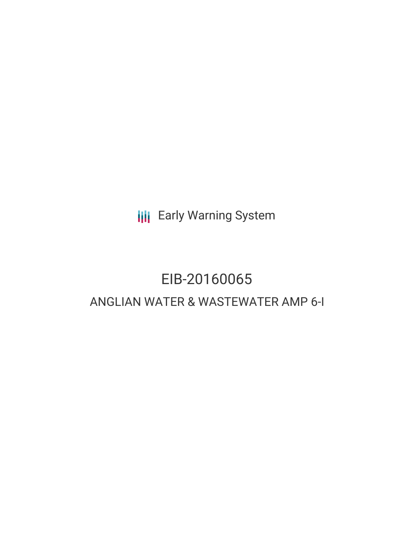**III** Early Warning System

# EIB-20160065 ANGLIAN WATER & WASTEWATER AMP 6-I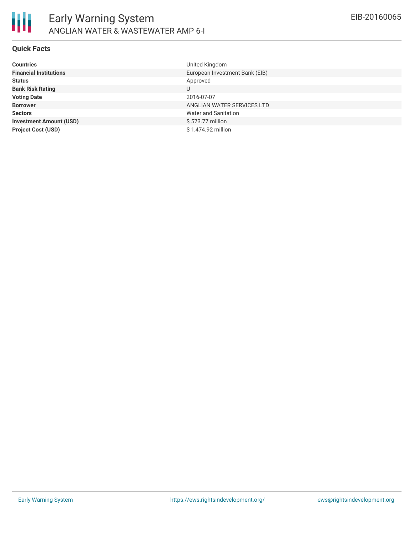

#### **Quick Facts**

| <b>Countries</b>               | United Kingdom                 |
|--------------------------------|--------------------------------|
| <b>Financial Institutions</b>  | European Investment Bank (EIB) |
| <b>Status</b>                  | Approved                       |
| <b>Bank Risk Rating</b>        | U                              |
| <b>Voting Date</b>             | 2016-07-07                     |
| <b>Borrower</b>                | ANGLIAN WATER SERVICES LTD     |
| <b>Sectors</b>                 | Water and Sanitation           |
| <b>Investment Amount (USD)</b> | \$573.77 million               |
| <b>Project Cost (USD)</b>      | \$1,474.92 million             |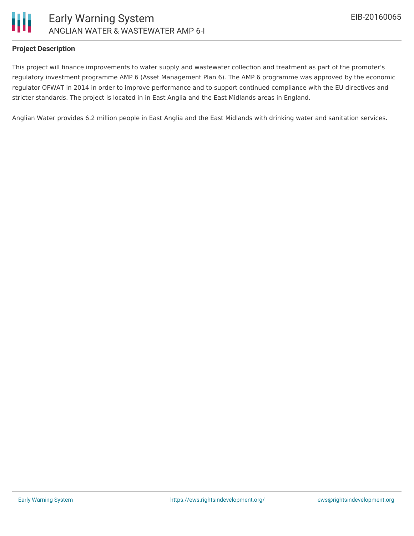

#### **Project Description**

This project will finance improvements to water supply and wastewater collection and treatment as part of the promoter's regulatory investment programme AMP 6 (Asset Management Plan 6). The AMP 6 programme was approved by the economic regulator OFWAT in 2014 in order to improve performance and to support continued compliance with the EU directives and stricter standards. The project is located in in East Anglia and the East Midlands areas in England.

Anglian Water provides 6.2 million people in East Anglia and the East Midlands with drinking water and sanitation services.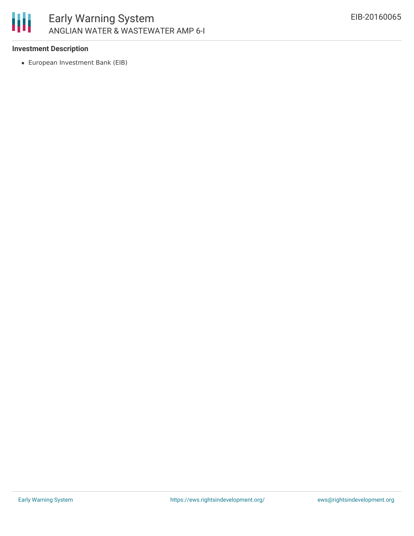

## **Investment Description**

European Investment Bank (EIB)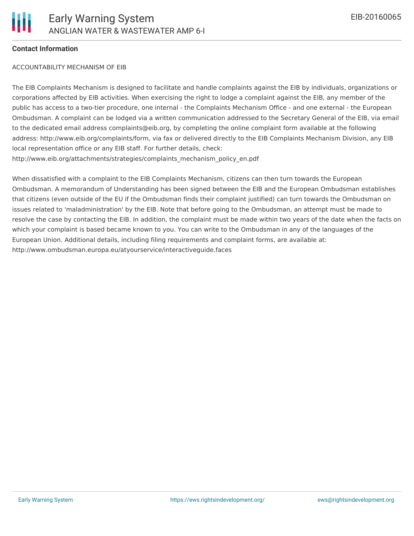## **Contact Information**

#### ACCOUNTABILITY MECHANISM OF EIB

The EIB Complaints Mechanism is designed to facilitate and handle complaints against the EIB by individuals, organizations or corporations affected by EIB activities. When exercising the right to lodge a complaint against the EIB, any member of the public has access to a two-tier procedure, one internal - the Complaints Mechanism Office - and one external - the European Ombudsman. A complaint can be lodged via a written communication addressed to the Secretary General of the EIB, via email to the dedicated email address complaints@eib.org, by completing the online complaint form available at the following address: http://www.eib.org/complaints/form, via fax or delivered directly to the EIB Complaints Mechanism Division, any EIB local representation office or any EIB staff. For further details, check: http://www.eib.org/attachments/strategies/complaints\_mechanism\_policy\_en.pdf

When dissatisfied with a complaint to the EIB Complaints Mechanism, citizens can then turn towards the European Ombudsman. A memorandum of Understanding has been signed between the EIB and the European Ombudsman establishes that citizens (even outside of the EU if the Ombudsman finds their complaint justified) can turn towards the Ombudsman on issues related to 'maladministration' by the EIB. Note that before going to the Ombudsman, an attempt must be made to resolve the case by contacting the EIB. In addition, the complaint must be made within two years of the date when the facts on which your complaint is based became known to you. You can write to the Ombudsman in any of the languages of the European Union. Additional details, including filing requirements and complaint forms, are available at: http://www.ombudsman.europa.eu/atyourservice/interactiveguide.faces